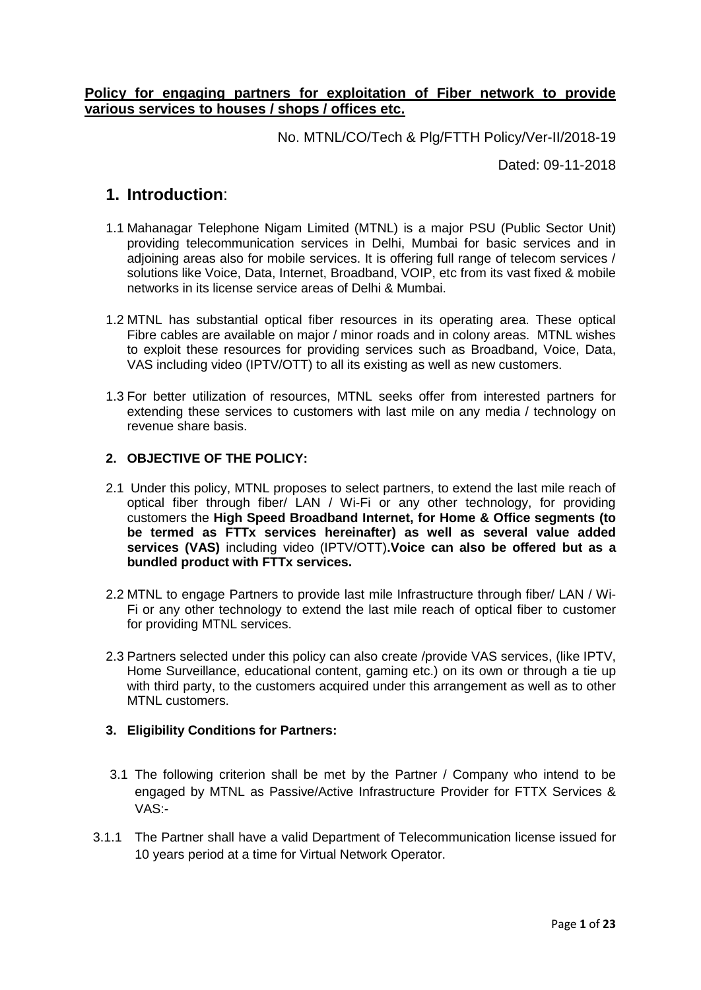# **Policy for engaging partners for exploitation of Fiber network to provide various services to houses / shops / offices etc.**

No. MTNL/CO/Tech & Plg/FTTH Policy/Ver-II/2018-19

Dated: 09-11-2018

# **1. Introduction**:

- 1.1 Mahanagar Telephone Nigam Limited (MTNL) is a major PSU (Public Sector Unit) providing telecommunication services in Delhi, Mumbai for basic services and in adjoining areas also for mobile services. It is offering full range of telecom services / solutions like Voice, Data, Internet, Broadband, VOIP, etc from its vast fixed & mobile networks in its license service areas of Delhi & Mumbai.
- 1.2 MTNL has substantial optical fiber resources in its operating area. These optical Fibre cables are available on major / minor roads and in colony areas. MTNL wishes to exploit these resources for providing services such as Broadband, Voice, Data, VAS including video (IPTV/OTT) to all its existing as well as new customers.
- 1.3 For better utilization of resources, MTNL seeks offer from interested partners for extending these services to customers with last mile on any media / technology on revenue share basis.

## **2. OBJECTIVE OF THE POLICY:**

- 2.1 Under this policy, MTNL proposes to select partners, to extend the last mile reach of optical fiber through fiber/ LAN / Wi-Fi or any other technology, for providing customers the **High Speed Broadband Internet, for Home & Office segments (to be termed as FTTx services hereinafter) as well as several value added services (VAS)** including video (IPTV/OTT)**.Voice can also be offered but as a bundled product with FTTx services.**
- 2.2 MTNL to engage Partners to provide last mile Infrastructure through fiber/ LAN / Wi-Fi or any other technology to extend the last mile reach of optical fiber to customer for providing MTNL services.
- 2.3 Partners selected under this policy can also create /provide VAS services, (like IPTV, Home Surveillance, educational content, gaming etc.) on its own or through a tie up with third party, to the customers acquired under this arrangement as well as to other MTNL customers.

# **3. Eligibility Conditions for Partners:**

- 3.1 The following criterion shall be met by the Partner / Company who intend to be engaged by MTNL as Passive/Active Infrastructure Provider for FTTX Services & VAS:-
- 3.1.1 The Partner shall have a valid Department of Telecommunication license issued for 10 years period at a time for Virtual Network Operator.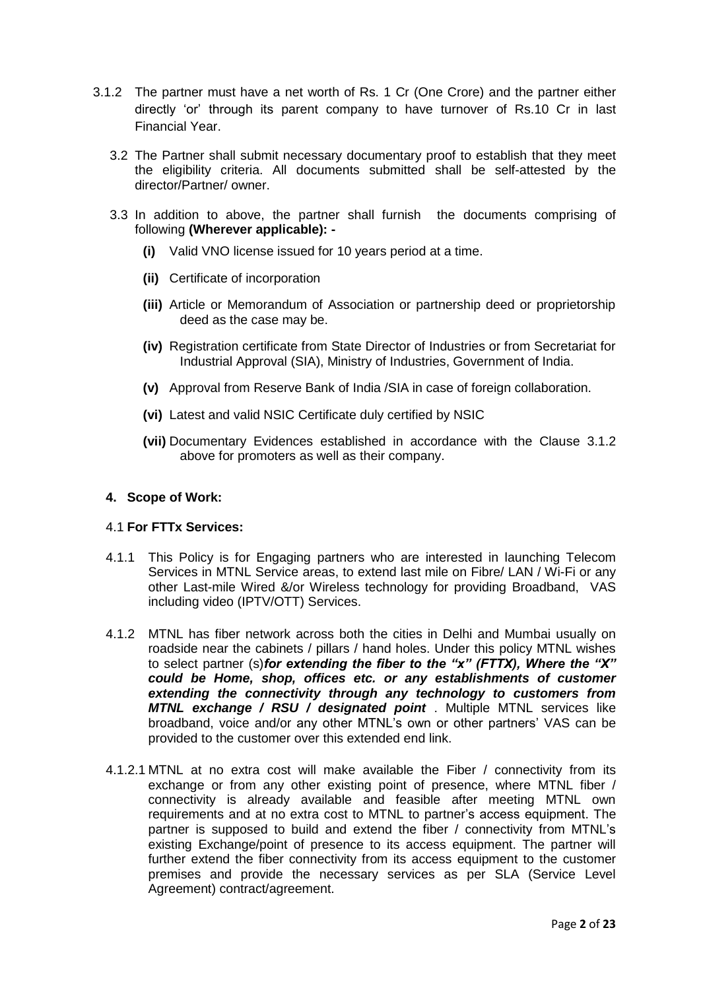- 3.1.2 The partner must have a net worth of Rs. 1 Cr (One Crore) and the partner either directly 'or' through its parent company to have turnover of Rs.10 Cr in last Financial Year.
	- 3.2 The Partner shall submit necessary documentary proof to establish that they meet the eligibility criteria. All documents submitted shall be self-attested by the director/Partner/ owner.
	- 3.3 In addition to above, the partner shall furnish the documents comprising of following **(Wherever applicable): -**
		- **(i)** Valid VNO license issued for 10 years period at a time.
		- **(ii)** Certificate of incorporation
		- **(iii)** Article or Memorandum of Association or partnership deed or proprietorship deed as the case may be.
		- **(iv)** Registration certificate from State Director of Industries or from Secretariat for Industrial Approval (SIA), Ministry of Industries, Government of India.
		- **(v)** Approval from Reserve Bank of India /SIA in case of foreign collaboration.
		- **(vi)** Latest and valid NSIC Certificate duly certified by NSIC
		- **(vii)** Documentary Evidences established in accordance with the Clause 3.1.2 above for promoters as well as their company.

#### **4. Scope of Work:**

#### 4.1 **For FTTx Services:**

- 4.1.1 This Policy is for Engaging partners who are interested in launching Telecom Services in MTNL Service areas, to extend last mile on Fibre/ LAN / Wi-Fi or any other Last-mile Wired &/or Wireless technology for providing Broadband, VAS including video (IPTV/OTT) Services.
- 4.1.2 MTNL has fiber network across both the cities in Delhi and Mumbai usually on roadside near the cabinets / pillars / hand holes. Under this policy MTNL wishes to select partner (s)*for extending the fiber to the "x" (FTTX), Where the "X" could be Home, shop, offices etc. or any establishments of customer extending the connectivity through any technology to customers from MTNL exchange / RSU / designated point* . Multiple MTNL services like broadband, voice and/or any other MTNL's own or other partners' VAS can be provided to the customer over this extended end link.
- 4.1.2.1 MTNL at no extra cost will make available the Fiber / connectivity from its exchange or from any other existing point of presence, where MTNL fiber / connectivity is already available and feasible after meeting MTNL own requirements and at no extra cost to MTNL to partner's access equipment. The partner is supposed to build and extend the fiber / connectivity from MTNL's existing Exchange/point of presence to its access equipment. The partner will further extend the fiber connectivity from its access equipment to the customer premises and provide the necessary services as per SLA (Service Level Agreement) contract/agreement.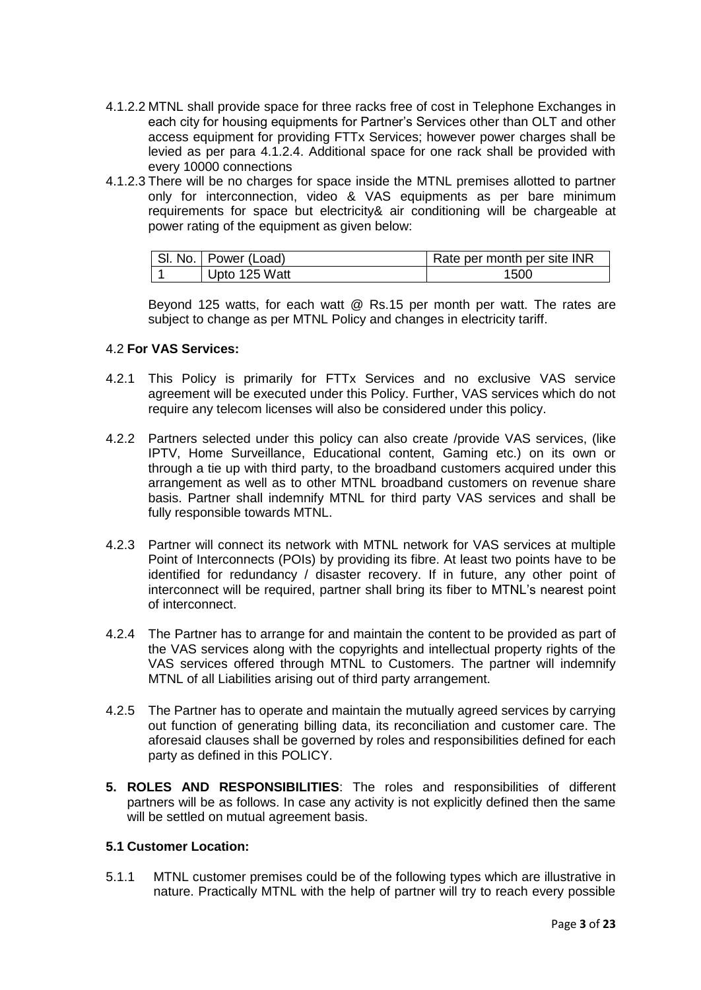- 4.1.2.2 MTNL shall provide space for three racks free of cost in Telephone Exchanges in each city for housing equipments for Partner's Services other than OLT and other access equipment for providing FTTx Services; however power charges shall be levied as per para 4.1.2.4. Additional space for one rack shall be provided with every 10000 connections
- 4.1.2.3 There will be no charges for space inside the MTNL premises allotted to partner only for interconnection, video & VAS equipments as per bare minimum requirements for space but electricity& air conditioning will be chargeable at power rating of the equipment as given below:

| SI. No.   Power (Load) | Rate per month per site INR |
|------------------------|-----------------------------|
| Upto 125 Watt          | 1500                        |

Beyond 125 watts, for each watt @ Rs.15 per month per watt. The rates are subject to change as per MTNL Policy and changes in electricity tariff.

## 4.2 **For VAS Services:**

- 4.2.1 This Policy is primarily for FTTx Services and no exclusive VAS service agreement will be executed under this Policy. Further, VAS services which do not require any telecom licenses will also be considered under this policy.
- 4.2.2 Partners selected under this policy can also create /provide VAS services, (like IPTV, Home Surveillance, Educational content, Gaming etc.) on its own or through a tie up with third party, to the broadband customers acquired under this arrangement as well as to other MTNL broadband customers on revenue share basis. Partner shall indemnify MTNL for third party VAS services and shall be fully responsible towards MTNL.
- 4.2.3 Partner will connect its network with MTNL network for VAS services at multiple Point of Interconnects (POIs) by providing its fibre. At least two points have to be identified for redundancy / disaster recovery. If in future, any other point of interconnect will be required, partner shall bring its fiber to MTNL's nearest point of interconnect.
- 4.2.4 The Partner has to arrange for and maintain the content to be provided as part of the VAS services along with the copyrights and intellectual property rights of the VAS services offered through MTNL to Customers. The partner will indemnify MTNL of all Liabilities arising out of third party arrangement.
- 4.2.5 The Partner has to operate and maintain the mutually agreed services by carrying out function of generating billing data, its reconciliation and customer care. The aforesaid clauses shall be governed by roles and responsibilities defined for each party as defined in this POLICY.
- **5. ROLES AND RESPONSIBILITIES**: The roles and responsibilities of different partners will be as follows. In case any activity is not explicitly defined then the same will be settled on mutual agreement basis.

# **5.1 Customer Location:**

5.1.1 MTNL customer premises could be of the following types which are illustrative in nature. Practically MTNL with the help of partner will try to reach every possible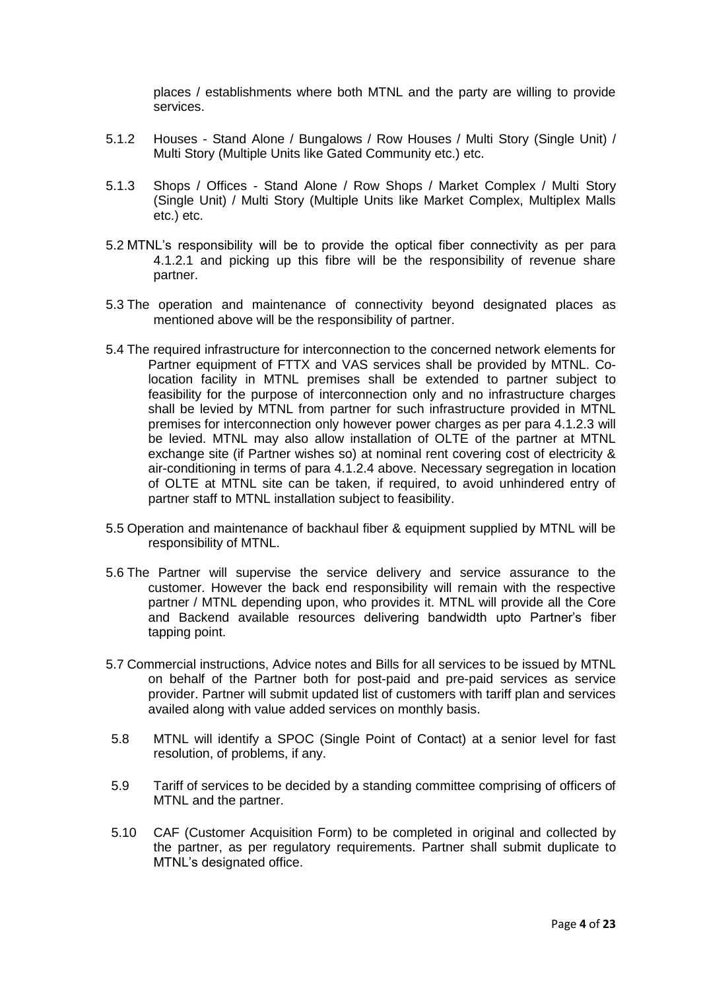places / establishments where both MTNL and the party are willing to provide services.

- 5.1.2 Houses Stand Alone / Bungalows / Row Houses / Multi Story (Single Unit) / Multi Story (Multiple Units like Gated Community etc.) etc.
- 5.1.3 Shops / Offices Stand Alone / Row Shops / Market Complex / Multi Story (Single Unit) / Multi Story (Multiple Units like Market Complex, Multiplex Malls etc.) etc.
- 5.2 MTNL's responsibility will be to provide the optical fiber connectivity as per para 4.1.2.1 and picking up this fibre will be the responsibility of revenue share partner.
- 5.3 The operation and maintenance of connectivity beyond designated places as mentioned above will be the responsibility of partner.
- 5.4 The required infrastructure for interconnection to the concerned network elements for Partner equipment of FTTX and VAS services shall be provided by MTNL. Colocation facility in MTNL premises shall be extended to partner subject to feasibility for the purpose of interconnection only and no infrastructure charges shall be levied by MTNL from partner for such infrastructure provided in MTNL premises for interconnection only however power charges as per para 4.1.2.3 will be levied. MTNL may also allow installation of OLTE of the partner at MTNL exchange site (if Partner wishes so) at nominal rent covering cost of electricity & air-conditioning in terms of para 4.1.2.4 above. Necessary segregation in location of OLTE at MTNL site can be taken, if required, to avoid unhindered entry of partner staff to MTNL installation subject to feasibility.
- 5.5 Operation and maintenance of backhaul fiber & equipment supplied by MTNL will be responsibility of MTNL.
- 5.6 The Partner will supervise the service delivery and service assurance to the customer. However the back end responsibility will remain with the respective partner / MTNL depending upon, who provides it. MTNL will provide all the Core and Backend available resources delivering bandwidth upto Partner's fiber tapping point.
- 5.7 Commercial instructions, Advice notes and Bills for all services to be issued by MTNL on behalf of the Partner both for post-paid and pre-paid services as service provider. Partner will submit updated list of customers with tariff plan and services availed along with value added services on monthly basis.
- 5.8 MTNL will identify a SPOC (Single Point of Contact) at a senior level for fast resolution, of problems, if any.
- 5.9 Tariff of services to be decided by a standing committee comprising of officers of MTNL and the partner.
- 5.10 CAF (Customer Acquisition Form) to be completed in original and collected by the partner, as per regulatory requirements. Partner shall submit duplicate to MTNL's designated office.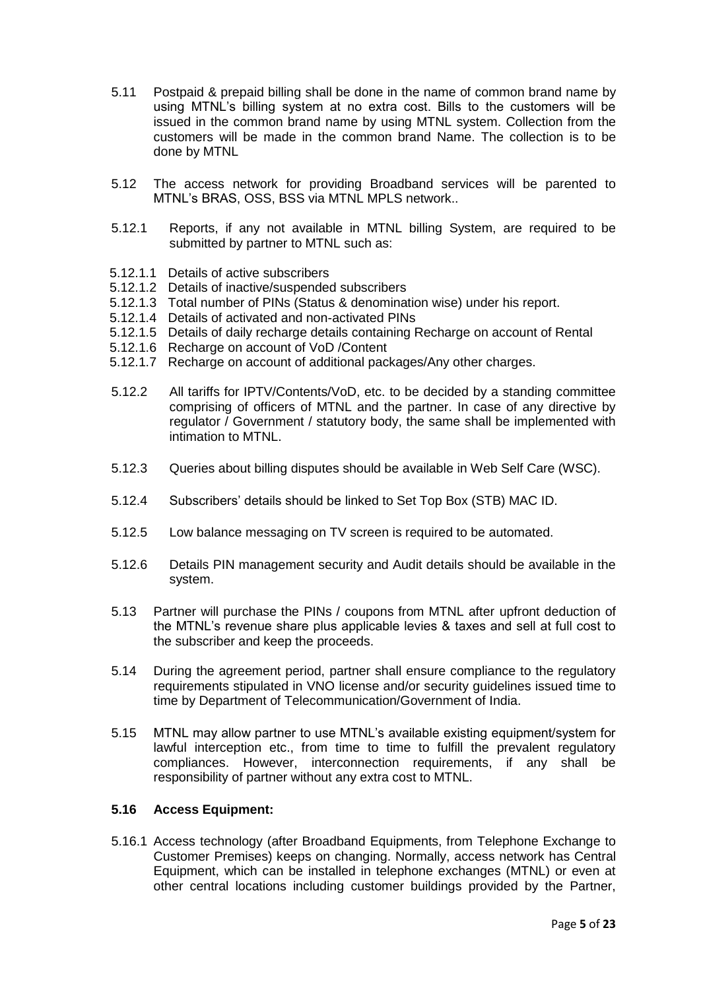- 5.11 Postpaid & prepaid billing shall be done in the name of common brand name by using MTNL's billing system at no extra cost. Bills to the customers will be issued in the common brand name by using MTNL system. Collection from the customers will be made in the common brand Name. The collection is to be done by MTNL
- 5.12 The access network for providing Broadband services will be parented to MTNL's BRAS, OSS, BSS via MTNL MPLS network..
- 5.12.1 Reports, if any not available in MTNL billing System, are required to be submitted by partner to MTNL such as:
- 5.12.1.1 Details of active subscribers
- 5.12.1.2 Details of inactive/suspended subscribers
- 5.12.1.3 Total number of PINs (Status & denomination wise) under his report.
- 5.12.1.4 Details of activated and non-activated PINs
- 5.12.1.5 Details of daily recharge details containing Recharge on account of Rental
- 5.12.1.6 Recharge on account of VoD /Content
- 5.12.1.7 Recharge on account of additional packages/Any other charges.
- 5.12.2 All tariffs for IPTV/Contents/VoD, etc. to be decided by a standing committee comprising of officers of MTNL and the partner. In case of any directive by regulator / Government / statutory body, the same shall be implemented with intimation to MTNL.
- 5.12.3 Queries about billing disputes should be available in Web Self Care (WSC).
- 5.12.4 Subscribers' details should be linked to Set Top Box (STB) MAC ID.
- 5.12.5 Low balance messaging on TV screen is required to be automated.
- 5.12.6 Details PIN management security and Audit details should be available in the system.
- 5.13 Partner will purchase the PINs / coupons from MTNL after upfront deduction of the MTNL's revenue share plus applicable levies & taxes and sell at full cost to the subscriber and keep the proceeds.
- 5.14 During the agreement period, partner shall ensure compliance to the regulatory requirements stipulated in VNO license and/or security guidelines issued time to time by Department of Telecommunication/Government of India.
- 5.15 MTNL may allow partner to use MTNL's available existing equipment/system for lawful interception etc., from time to time to fulfill the prevalent regulatory compliances. However, interconnection requirements, if any shall be responsibility of partner without any extra cost to MTNL.

#### **5.16 Access Equipment:**

5.16.1 Access technology (after Broadband Equipments, from Telephone Exchange to Customer Premises) keeps on changing. Normally, access network has Central Equipment, which can be installed in telephone exchanges (MTNL) or even at other central locations including customer buildings provided by the Partner,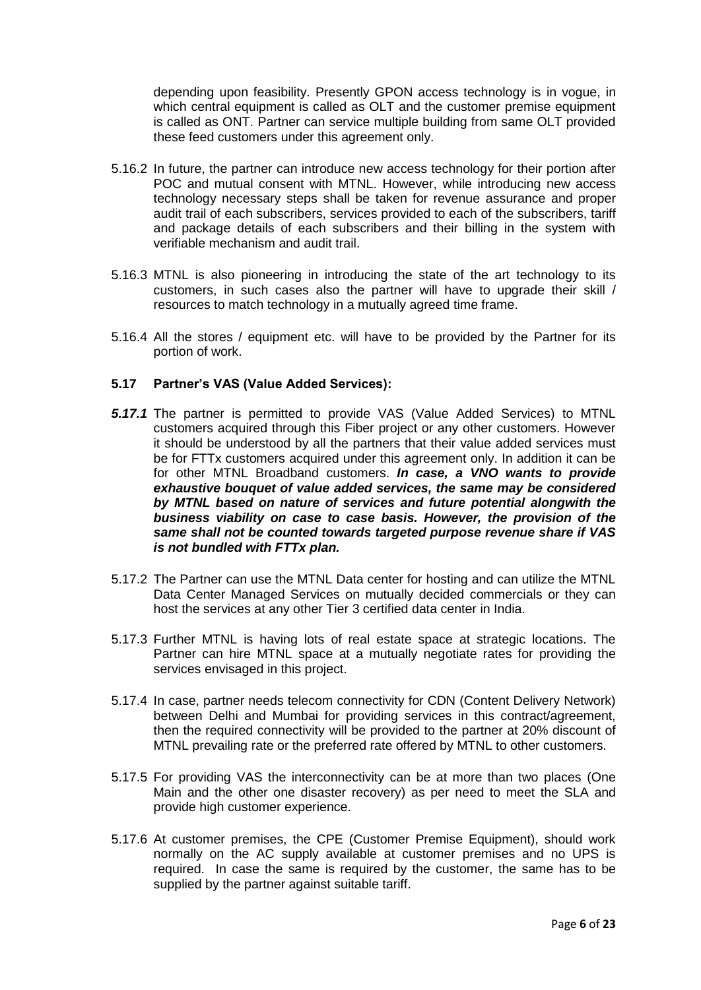depending upon feasibility. Presently GPON access technology is in vogue, in which central equipment is called as OLT and the customer premise equipment is called as ONT. Partner can service multiple building from same OLT provided these feed customers under this agreement only.

- 5.16.2 In future, the partner can introduce new access technology for their portion after POC and mutual consent with MTNL. However, while introducing new access technology necessary steps shall be taken for revenue assurance and proper audit trail of each subscribers, services provided to each of the subscribers, tariff and package details of each subscribers and their billing in the system with verifiable mechanism and audit trail.
- 5.16.3 MTNL is also pioneering in introducing the state of the art technology to its customers, in such cases also the partner will have to upgrade their skill / resources to match technology in a mutually agreed time frame.
- 5.16.4 All the stores / equipment etc. will have to be provided by the Partner for its portion of work.

#### **5.17 Partner's VAS (Value Added Services):**

- *5.17.1* The partner is permitted to provide VAS (Value Added Services) to MTNL customers acquired through this Fiber project or any other customers. However it should be understood by all the partners that their value added services must be for FTTx customers acquired under this agreement only. In addition it can be for other MTNL Broadband customers. *In case, a VNO wants to provide exhaustive bouquet of value added services, the same may be considered by MTNL based on nature of services and future potential alongwith the business viability on case to case basis. However, the provision of the same shall not be counted towards targeted purpose revenue share if VAS is not bundled with FTTx plan.*
- 5.17.2 The Partner can use the MTNL Data center for hosting and can utilize the MTNL Data Center Managed Services on mutually decided commercials or they can host the services at any other Tier 3 certified data center in India.
- 5.17.3 Further MTNL is having lots of real estate space at strategic locations. The Partner can hire MTNL space at a mutually negotiate rates for providing the services envisaged in this project.
- 5.17.4 In case, partner needs telecom connectivity for CDN (Content Delivery Network) between Delhi and Mumbai for providing services in this contract/agreement, then the required connectivity will be provided to the partner at 20% discount of MTNL prevailing rate or the preferred rate offered by MTNL to other customers.
- 5.17.5 For providing VAS the interconnectivity can be at more than two places (One Main and the other one disaster recovery) as per need to meet the SLA and provide high customer experience.
- 5.17.6 At customer premises, the CPE (Customer Premise Equipment), should work normally on the AC supply available at customer premises and no UPS is required. In case the same is required by the customer, the same has to be supplied by the partner against suitable tariff.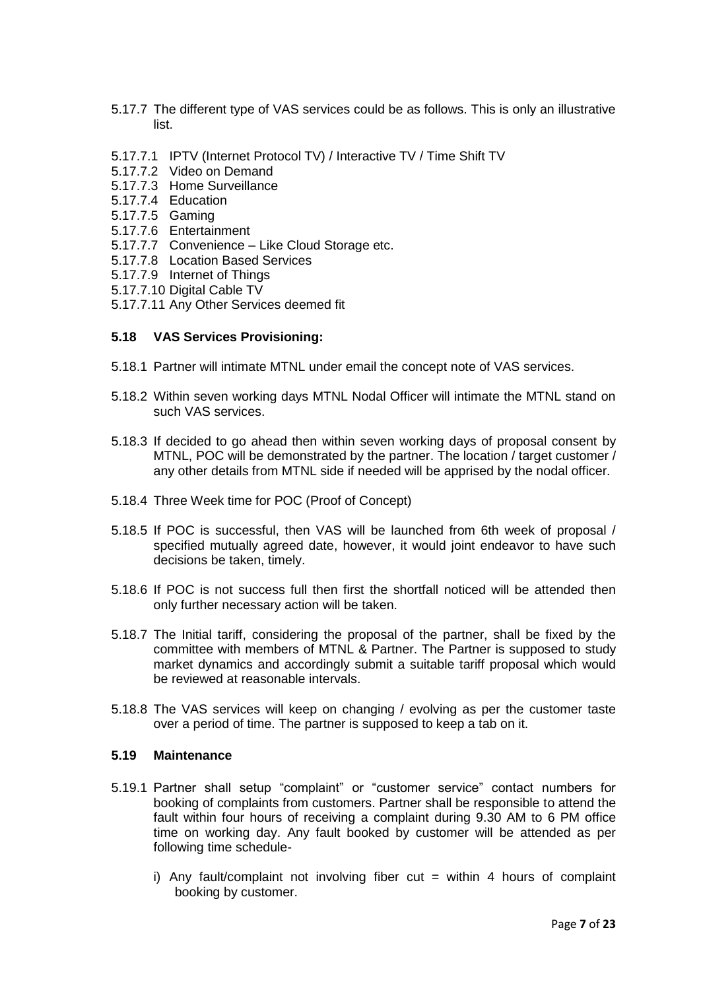- 5.17.7 The different type of VAS services could be as follows. This is only an illustrative list.
- 5.17.7.1 IPTV (Internet Protocol TV) / Interactive TV / Time Shift TV
- 5.17.7.2 Video on Demand
- 5.17.7.3 Home Surveillance
- 5.17.7.4 Education
- 5.17.7.5 Gaming
- 5.17.7.6 Entertainment
- 5.17.7.7 Convenience Like Cloud Storage etc.
- 5.17.7.8 Location Based Services
- 5.17.7.9 Internet of Things
- 5.17.7.10 Digital Cable TV
- 5.17.7.11 Any Other Services deemed fit

#### **5.18 VAS Services Provisioning:**

- 5.18.1 Partner will intimate MTNL under email the concept note of VAS services.
- 5.18.2 Within seven working days MTNL Nodal Officer will intimate the MTNL stand on such VAS services.
- 5.18.3 If decided to go ahead then within seven working days of proposal consent by MTNL, POC will be demonstrated by the partner. The location / target customer / any other details from MTNL side if needed will be apprised by the nodal officer.
- 5.18.4 Three Week time for POC (Proof of Concept)
- 5.18.5 If POC is successful, then VAS will be launched from 6th week of proposal / specified mutually agreed date, however, it would joint endeavor to have such decisions be taken, timely.
- 5.18.6 If POC is not success full then first the shortfall noticed will be attended then only further necessary action will be taken.
- 5.18.7 The Initial tariff, considering the proposal of the partner, shall be fixed by the committee with members of MTNL & Partner. The Partner is supposed to study market dynamics and accordingly submit a suitable tariff proposal which would be reviewed at reasonable intervals.
- 5.18.8 The VAS services will keep on changing / evolving as per the customer taste over a period of time. The partner is supposed to keep a tab on it.

### **5.19 Maintenance**

- 5.19.1 Partner shall setup "complaint" or "customer service" contact numbers for booking of complaints from customers. Partner shall be responsible to attend the fault within four hours of receiving a complaint during 9.30 AM to 6 PM office time on working day. Any fault booked by customer will be attended as per following time schedule
	- i) Any fault/complaint not involving fiber cut = within 4 hours of complaint booking by customer.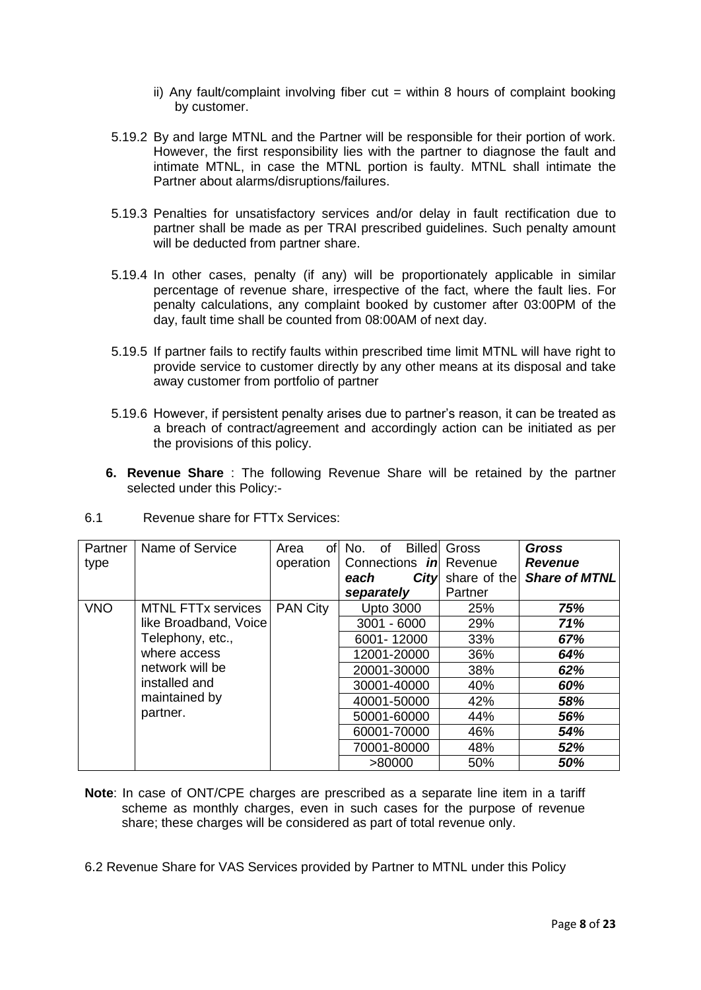- ii) Any fault/complaint involving fiber cut  $=$  within 8 hours of complaint booking by customer.
- 5.19.2 By and large MTNL and the Partner will be responsible for their portion of work. However, the first responsibility lies with the partner to diagnose the fault and intimate MTNL, in case the MTNL portion is faulty. MTNL shall intimate the Partner about alarms/disruptions/failures.
- 5.19.3 Penalties for unsatisfactory services and/or delay in fault rectification due to partner shall be made as per TRAI prescribed guidelines. Such penalty amount will be deducted from partner share.
- 5.19.4 In other cases, penalty (if any) will be proportionately applicable in similar percentage of revenue share, irrespective of the fact, where the fault lies. For penalty calculations, any complaint booked by customer after 03:00PM of the day, fault time shall be counted from 08:00AM of next day.
- 5.19.5 If partner fails to rectify faults within prescribed time limit MTNL will have right to provide service to customer directly by any other means at its disposal and take away customer from portfolio of partner
- 5.19.6 However, if persistent penalty arises due to partner's reason, it can be treated as a breach of contract/agreement and accordingly action can be initiated as per the provisions of this policy.
- **6. Revenue Share** : The following Revenue Share will be retained by the partner selected under this Policy:-

| Partner    | Name of Service           | Area<br>ofl     | <b>Billed</b><br>No.<br>οf    | Gross        | <b>Gross</b>         |     |
|------------|---------------------------|-----------------|-------------------------------|--------------|----------------------|-----|
| type       |                           | operation       | Connections <i>in</i> Revenue |              | <b>Revenue</b>       |     |
|            |                           |                 | City<br>each                  | share of the | <b>Share of MTNL</b> |     |
|            |                           |                 | separately                    | Partner      |                      |     |
| <b>VNO</b> | <b>MTNL FTTx services</b> | <b>PAN City</b> | <b>Upto 3000</b>              | 25%          | 75%                  |     |
|            | like Broadband, Voice     |                 | $3001 - 6000$                 | 29%          | 71%                  |     |
|            | Telephony, etc.,          |                 | 6001-12000                    | 33%          | 67%                  |     |
|            | where access              |                 | 12001-20000                   | 36%          | 64%                  |     |
|            | network will be           |                 | 20001-30000                   | 38%          | 62%                  |     |
|            | installed and             |                 | 30001-40000                   | 40%          | 60%                  |     |
|            | maintained by             |                 |                               | 40001-50000  | 42%                  | 58% |
| partner.   |                           |                 |                               | 50001-60000  | 44%                  | 56% |
|            |                           |                 | 60001-70000                   | 46%          | 54%                  |     |
|            |                           |                 | 70001-80000                   | 48%          | 52%                  |     |
|            |                           |                 | >80000                        | 50%          | 50%                  |     |

6.1 Revenue share for FTTx Services:

**Note**: In case of ONT/CPE charges are prescribed as a separate line item in a tariff scheme as monthly charges, even in such cases for the purpose of revenue share; these charges will be considered as part of total revenue only.

6.2 Revenue Share for VAS Services provided by Partner to MTNL under this Policy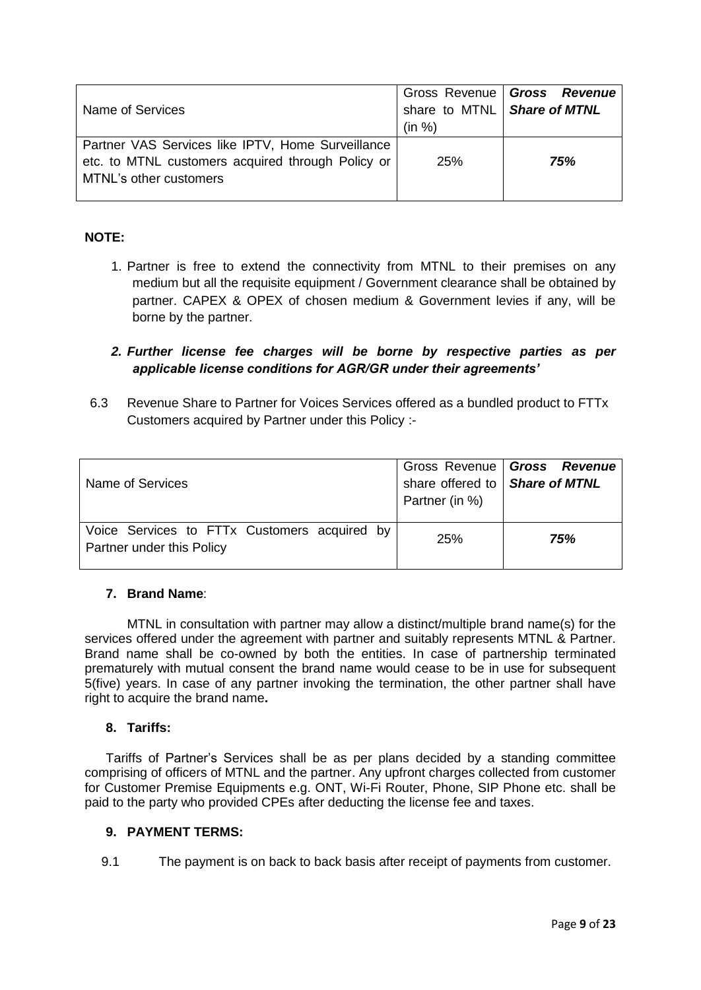| Name of Services                                                                                                                 | share to MTNL   Share of MTNL<br>(in %) | Gross Revenue   Gross Revenue |
|----------------------------------------------------------------------------------------------------------------------------------|-----------------------------------------|-------------------------------|
| Partner VAS Services like IPTV, Home Surveillance<br>etc. to MTNL customers acquired through Policy or<br>MTNL's other customers | 25%                                     | 75%                           |

# **NOTE:**

1. Partner is free to extend the connectivity from MTNL to their premises on any medium but all the requisite equipment / Government clearance shall be obtained by partner. CAPEX & OPEX of chosen medium & Government levies if any, will be borne by the partner.

# *2. Further license fee charges will be borne by respective parties as per applicable license conditions for AGR/GR under their agreements'*

6.3 Revenue Share to Partner for Voices Services offered as a bundled product to FTTx Customers acquired by Partner under this Policy :-

| Name of Services                                                          | share offered to   Share of MTNL<br>Partner (in %) | Gross Revenue   Gross Revenue |
|---------------------------------------------------------------------------|----------------------------------------------------|-------------------------------|
| Voice Services to FTTx Customers acquired by<br>Partner under this Policy | 25%                                                | 75%                           |

## **7. Brand Name**:

MTNL in consultation with partner may allow a distinct/multiple brand name(s) for the services offered under the agreement with partner and suitably represents MTNL & Partner. Brand name shall be co-owned by both the entities. In case of partnership terminated prematurely with mutual consent the brand name would cease to be in use for subsequent 5(five) years. In case of any partner invoking the termination, the other partner shall have right to acquire the brand name**.**

## **8. Tariffs:**

Tariffs of Partner's Services shall be as per plans decided by a standing committee comprising of officers of MTNL and the partner. Any upfront charges collected from customer for Customer Premise Equipments e.g. ONT, Wi-Fi Router, Phone, SIP Phone etc. shall be paid to the party who provided CPEs after deducting the license fee and taxes.

## **9. PAYMENT TERMS:**

9.1 The payment is on back to back basis after receipt of payments from customer.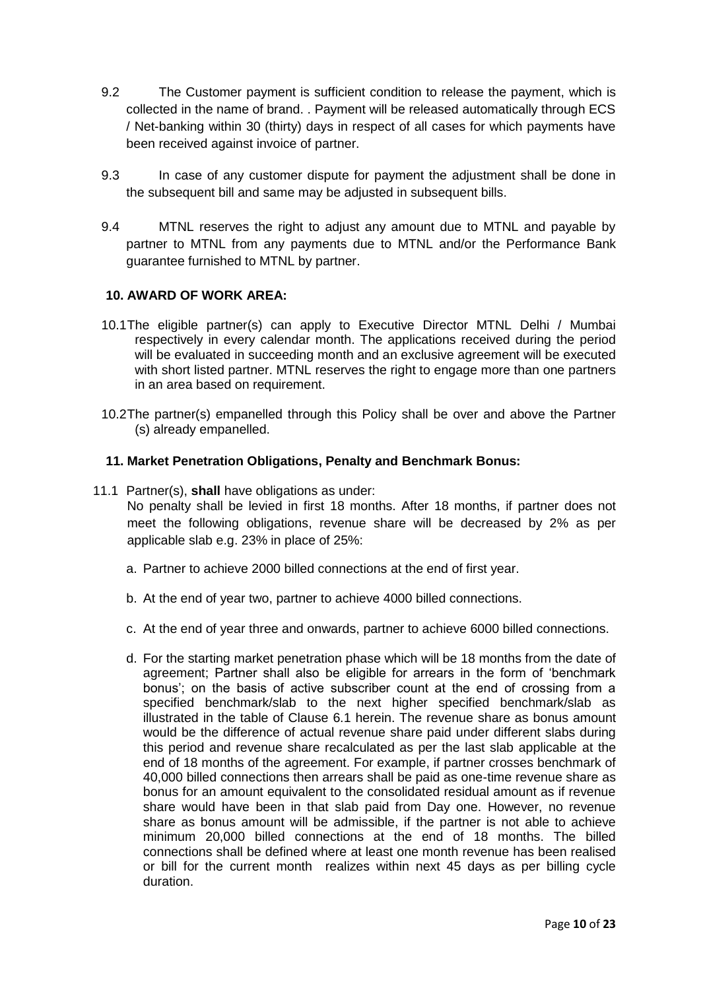- 9.2 The Customer payment is sufficient condition to release the payment, which is collected in the name of brand. . Payment will be released automatically through ECS / Net-banking within 30 (thirty) days in respect of all cases for which payments have been received against invoice of partner.
- 9.3 In case of any customer dispute for payment the adjustment shall be done in the subsequent bill and same may be adjusted in subsequent bills.
- 9.4 MTNL reserves the right to adjust any amount due to MTNL and payable by partner to MTNL from any payments due to MTNL and/or the Performance Bank guarantee furnished to MTNL by partner.

## **10. AWARD OF WORK AREA:**

- 10.1The eligible partner(s) can apply to Executive Director MTNL Delhi / Mumbai respectively in every calendar month. The applications received during the period will be evaluated in succeeding month and an exclusive agreement will be executed with short listed partner. MTNL reserves the right to engage more than one partners in an area based on requirement.
- 10.2The partner(s) empanelled through this Policy shall be over and above the Partner (s) already empanelled.

#### **11. Market Penetration Obligations, Penalty and Benchmark Bonus:**

11.1 Partner(s), **shall** have obligations as under:

No penalty shall be levied in first 18 months. After 18 months, if partner does not meet the following obligations, revenue share will be decreased by 2% as per applicable slab e.g. 23% in place of 25%:

- a. Partner to achieve 2000 billed connections at the end of first year.
- b. At the end of year two, partner to achieve 4000 billed connections.
- c. At the end of year three and onwards, partner to achieve 6000 billed connections.
- d. For the starting market penetration phase which will be 18 months from the date of agreement; Partner shall also be eligible for arrears in the form of 'benchmark bonus'; on the basis of active subscriber count at the end of crossing from a specified benchmark/slab to the next higher specified benchmark/slab as illustrated in the table of Clause 6.1 herein. The revenue share as bonus amount would be the difference of actual revenue share paid under different slabs during this period and revenue share recalculated as per the last slab applicable at the end of 18 months of the agreement. For example, if partner crosses benchmark of 40,000 billed connections then arrears shall be paid as one-time revenue share as bonus for an amount equivalent to the consolidated residual amount as if revenue share would have been in that slab paid from Day one. However, no revenue share as bonus amount will be admissible, if the partner is not able to achieve minimum 20,000 billed connections at the end of 18 months. The billed connections shall be defined where at least one month revenue has been realised or bill for the current month realizes within next 45 days as per billing cycle duration.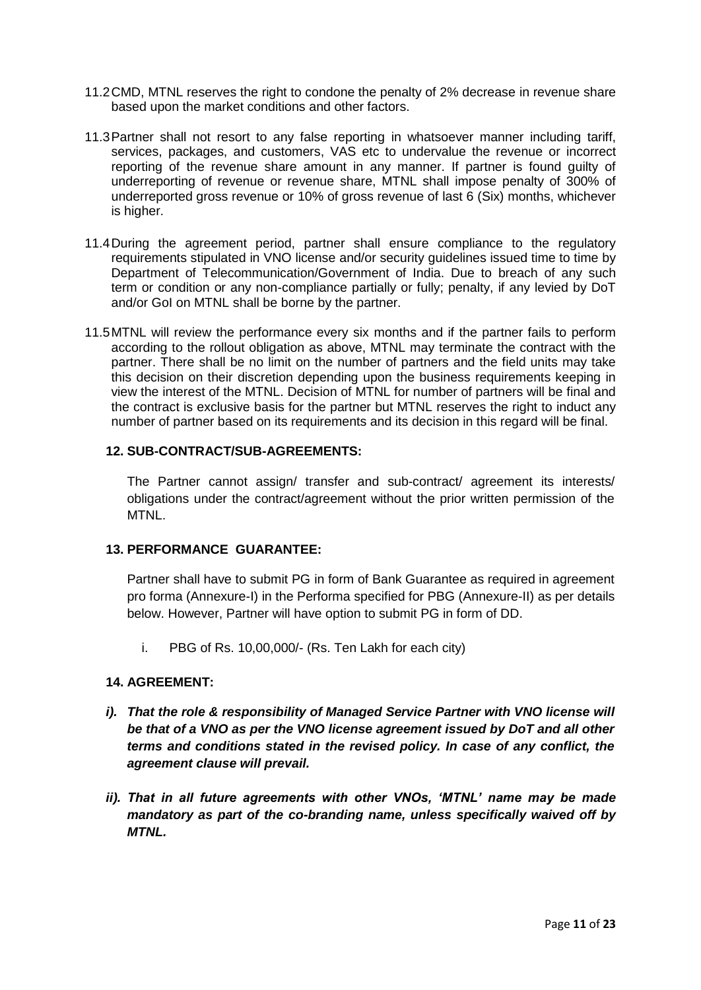- 11.2CMD, MTNL reserves the right to condone the penalty of 2% decrease in revenue share based upon the market conditions and other factors.
- 11.3Partner shall not resort to any false reporting in whatsoever manner including tariff, services, packages, and customers, VAS etc to undervalue the revenue or incorrect reporting of the revenue share amount in any manner. If partner is found guilty of underreporting of revenue or revenue share, MTNL shall impose penalty of 300% of underreported gross revenue or 10% of gross revenue of last 6 (Six) months, whichever is higher.
- 11.4During the agreement period, partner shall ensure compliance to the regulatory requirements stipulated in VNO license and/or security guidelines issued time to time by Department of Telecommunication/Government of India. Due to breach of any such term or condition or any non-compliance partially or fully; penalty, if any levied by DoT and/or GoI on MTNL shall be borne by the partner.
- 11.5MTNL will review the performance every six months and if the partner fails to perform according to the rollout obligation as above, MTNL may terminate the contract with the partner. There shall be no limit on the number of partners and the field units may take this decision on their discretion depending upon the business requirements keeping in view the interest of the MTNL. Decision of MTNL for number of partners will be final and the contract is exclusive basis for the partner but MTNL reserves the right to induct any number of partner based on its requirements and its decision in this regard will be final.

#### **12. SUB-CONTRACT/SUB-AGREEMENTS:**

The Partner cannot assign/ transfer and sub-contract/ agreement its interests/ obligations under the contract/agreement without the prior written permission of the MTNL.

## **13. PERFORMANCE GUARANTEE:**

Partner shall have to submit PG in form of Bank Guarantee as required in agreement pro forma (Annexure-I) in the Performa specified for PBG (Annexure-II) as per details below. However, Partner will have option to submit PG in form of DD.

i. PBG of Rs. 10,00,000/- (Rs. Ten Lakh for each city)

## **14. AGREEMENT:**

- *i*). That the role & responsibility of Managed Service Partner with VNO license will *be that of a VNO as per the VNO license agreement issued by DoT and all other terms and conditions stated in the revised policy. In case of any conflict, the agreement clause will prevail.*
- *ii). That in all future agreements with other VNOs, 'MTNL' name may be made mandatory as part of the co-branding name, unless specifically waived off by MTNL.*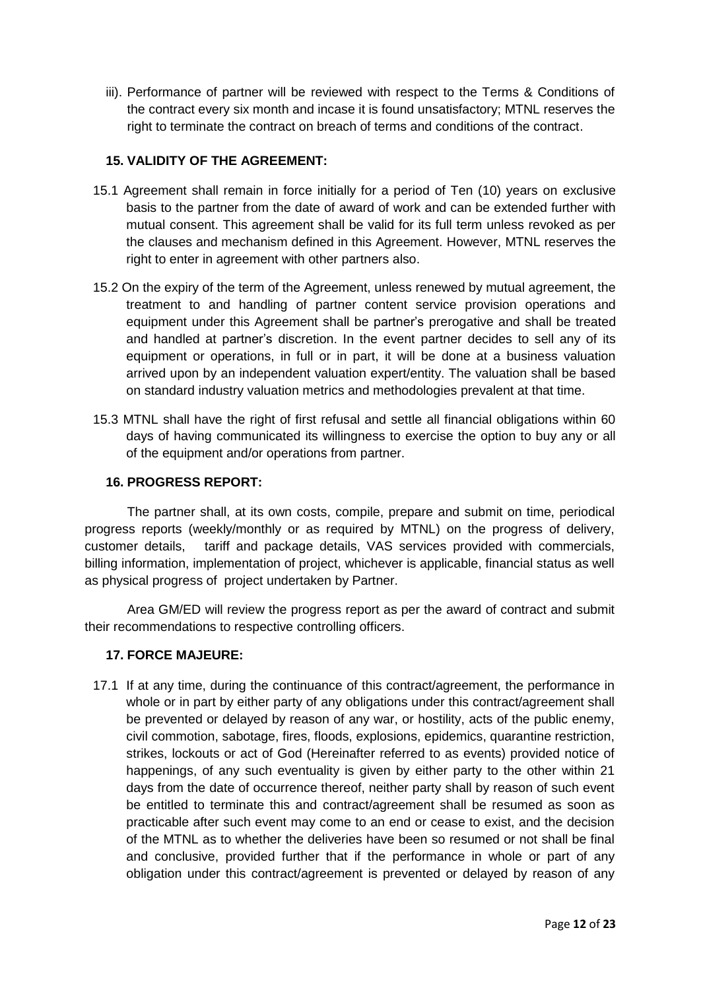iii). Performance of partner will be reviewed with respect to the Terms & Conditions of the contract every six month and incase it is found unsatisfactory; MTNL reserves the right to terminate the contract on breach of terms and conditions of the contract.

# **15. VALIDITY OF THE AGREEMENT:**

- 15.1 Agreement shall remain in force initially for a period of Ten (10) years on exclusive basis to the partner from the date of award of work and can be extended further with mutual consent. This agreement shall be valid for its full term unless revoked as per the clauses and mechanism defined in this Agreement. However, MTNL reserves the right to enter in agreement with other partners also.
- 15.2 On the expiry of the term of the Agreement, unless renewed by mutual agreement, the treatment to and handling of partner content service provision operations and equipment under this Agreement shall be partner's prerogative and shall be treated and handled at partner's discretion. In the event partner decides to sell any of its equipment or operations, in full or in part, it will be done at a business valuation arrived upon by an independent valuation expert/entity. The valuation shall be based on standard industry valuation metrics and methodologies prevalent at that time.
- 15.3 MTNL shall have the right of first refusal and settle all financial obligations within 60 days of having communicated its willingness to exercise the option to buy any or all of the equipment and/or operations from partner.

# **16. PROGRESS REPORT:**

The partner shall, at its own costs, compile, prepare and submit on time, periodical progress reports (weekly/monthly or as required by MTNL) on the progress of delivery, customer details, tariff and package details, VAS services provided with commercials, billing information, implementation of project, whichever is applicable, financial status as well as physical progress of project undertaken by Partner.

Area GM/ED will review the progress report as per the award of contract and submit their recommendations to respective controlling officers.

## **17. FORCE MAJEURE:**

17.1 If at any time, during the continuance of this contract/agreement, the performance in whole or in part by either party of any obligations under this contract/agreement shall be prevented or delayed by reason of any war, or hostility, acts of the public enemy, civil commotion, sabotage, fires, floods, explosions, epidemics, quarantine restriction, strikes, lockouts or act of God (Hereinafter referred to as events) provided notice of happenings, of any such eventuality is given by either party to the other within 21 days from the date of occurrence thereof, neither party shall by reason of such event be entitled to terminate this and contract/agreement shall be resumed as soon as practicable after such event may come to an end or cease to exist, and the decision of the MTNL as to whether the deliveries have been so resumed or not shall be final and conclusive, provided further that if the performance in whole or part of any obligation under this contract/agreement is prevented or delayed by reason of any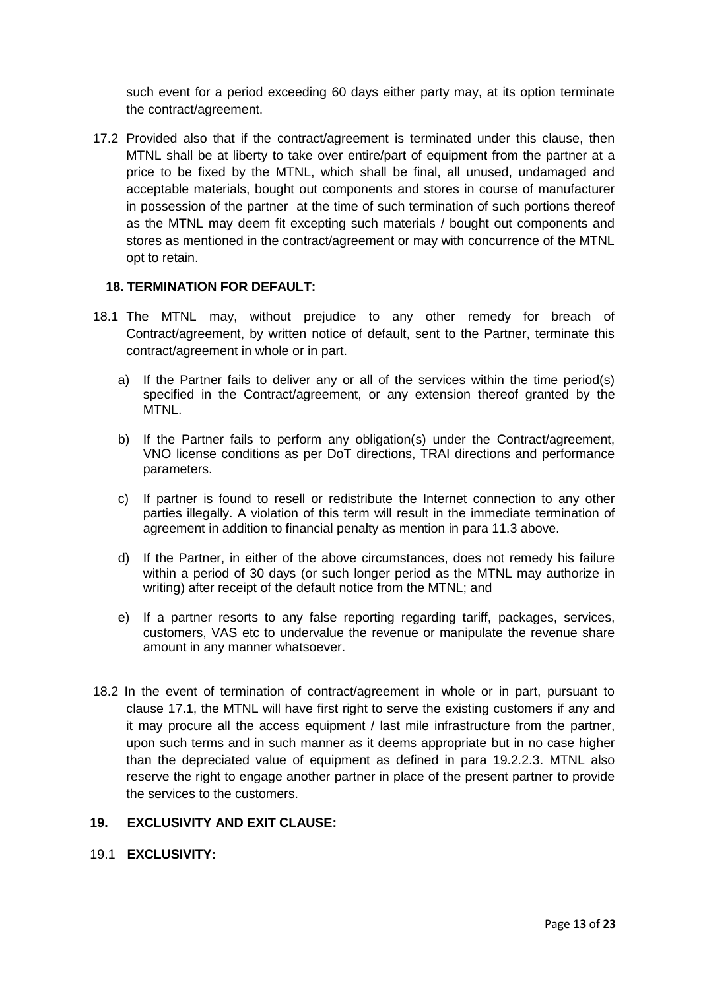such event for a period exceeding 60 days either party may, at its option terminate the contract/agreement.

17.2 Provided also that if the contract/agreement is terminated under this clause, then MTNL shall be at liberty to take over entire/part of equipment from the partner at a price to be fixed by the MTNL, which shall be final, all unused, undamaged and acceptable materials, bought out components and stores in course of manufacturer in possession of the partner at the time of such termination of such portions thereof as the MTNL may deem fit excepting such materials / bought out components and stores as mentioned in the contract/agreement or may with concurrence of the MTNL opt to retain.

## **18. TERMINATION FOR DEFAULT:**

- 18.1 The MTNL may, without prejudice to any other remedy for breach of Contract/agreement, by written notice of default, sent to the Partner, terminate this contract/agreement in whole or in part.
	- a) If the Partner fails to deliver any or all of the services within the time period(s) specified in the Contract/agreement, or any extension thereof granted by the MTNL.
	- b) If the Partner fails to perform any obligation(s) under the Contract/agreement, VNO license conditions as per DoT directions, TRAI directions and performance parameters.
	- c) If partner is found to resell or redistribute the Internet connection to any other parties illegally. A violation of this term will result in the immediate termination of agreement in addition to financial penalty as mention in para 11.3 above.
	- d) If the Partner, in either of the above circumstances, does not remedy his failure within a period of 30 days (or such longer period as the MTNL may authorize in writing) after receipt of the default notice from the MTNL; and
	- e) If a partner resorts to any false reporting regarding tariff, packages, services, customers, VAS etc to undervalue the revenue or manipulate the revenue share amount in any manner whatsoever.
- 18.2 In the event of termination of contract/agreement in whole or in part, pursuant to clause 17.1, the MTNL will have first right to serve the existing customers if any and it may procure all the access equipment / last mile infrastructure from the partner, upon such terms and in such manner as it deems appropriate but in no case higher than the depreciated value of equipment as defined in para 19.2.2.3. MTNL also reserve the right to engage another partner in place of the present partner to provide the services to the customers.

#### **19. EXCLUSIVITY AND EXIT CLAUSE:**

19.1 **EXCLUSIVITY:**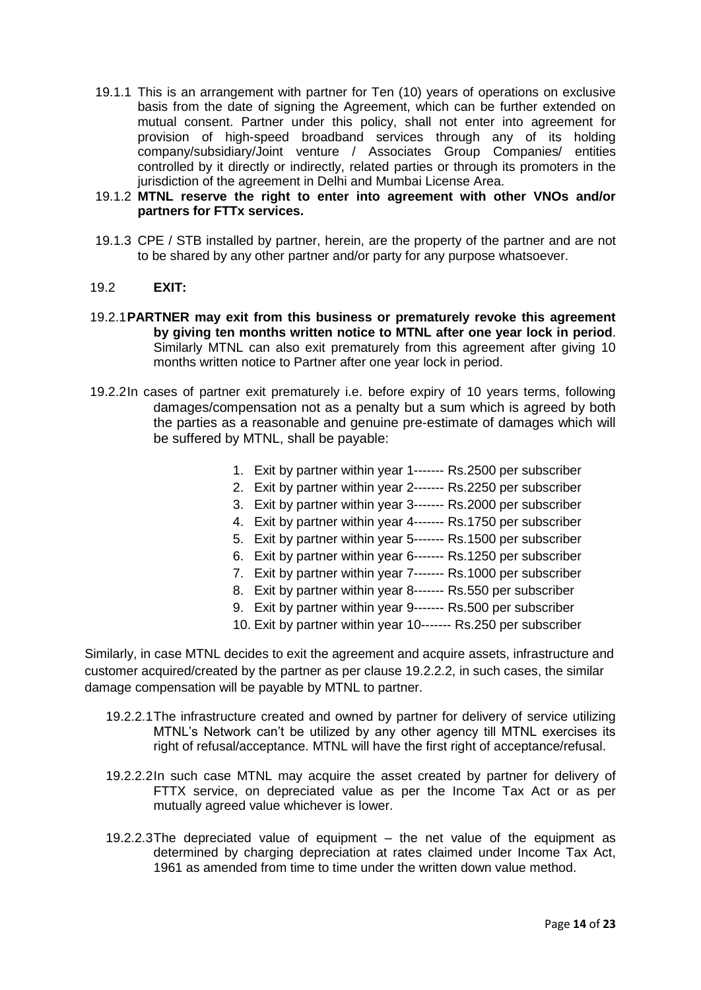- 19.1.1 This is an arrangement with partner for Ten (10) years of operations on exclusive basis from the date of signing the Agreement, which can be further extended on mutual consent. Partner under this policy, shall not enter into agreement for provision of high-speed broadband services through any of its holding company/subsidiary/Joint venture / Associates Group Companies/ entities controlled by it directly or indirectly, related parties or through its promoters in the jurisdiction of the agreement in Delhi and Mumbai License Area.
- 19.1.2 **MTNL reserve the right to enter into agreement with other VNOs and/or partners for FTTx services.**
- 19.1.3 CPE / STB installed by partner, herein, are the property of the partner and are not to be shared by any other partner and/or party for any purpose whatsoever.

#### 19.2 **EXIT:**

- 19.2.1**PARTNER may exit from this business or prematurely revoke this agreement by giving ten months written notice to MTNL after one year lock in period**. Similarly MTNL can also exit prematurely from this agreement after giving 10 months written notice to Partner after one year lock in period.
- 19.2.2In cases of partner exit prematurely i.e. before expiry of 10 years terms, following damages/compensation not as a penalty but a sum which is agreed by both the parties as a reasonable and genuine pre-estimate of damages which will be suffered by MTNL, shall be payable:
	- 1. Exit by partner within year 1------- Rs.2500 per subscriber
	- 2. Exit by partner within year 2------- Rs.2250 per subscriber
	- 3. Exit by partner within year 3------- Rs.2000 per subscriber
	- 4. Exit by partner within year 4------- Rs.1750 per subscriber
	- 5. Exit by partner within year 5------- Rs.1500 per subscriber
	- 6. Exit by partner within year 6------- Rs.1250 per subscriber
	- 7. Exit by partner within year 7------- Rs.1000 per subscriber
	- 8. Exit by partner within year 8------- Rs.550 per subscriber
	- 9. Exit by partner within year 9------- Rs.500 per subscriber
	- 10. Exit by partner within year 10------- Rs.250 per subscriber

Similarly, in case MTNL decides to exit the agreement and acquire assets, infrastructure and customer acquired/created by the partner as per clause 19.2.2.2, in such cases, the similar damage compensation will be payable by MTNL to partner.

- 19.2.2.1The infrastructure created and owned by partner for delivery of service utilizing MTNL's Network can't be utilized by any other agency till MTNL exercises its right of refusal/acceptance. MTNL will have the first right of acceptance/refusal.
- 19.2.2.2In such case MTNL may acquire the asset created by partner for delivery of FTTX service, on depreciated value as per the Income Tax Act or as per mutually agreed value whichever is lower.
- 19.2.2.3The depreciated value of equipment the net value of the equipment as determined by charging depreciation at rates claimed under Income Tax Act, 1961 as amended from time to time under the written down value method.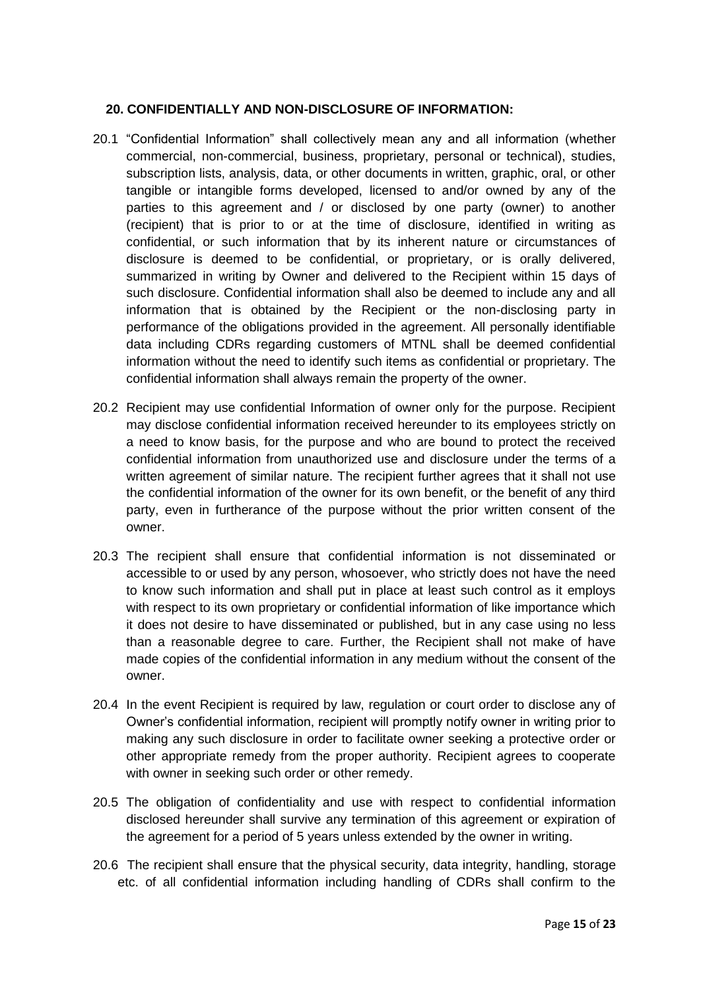#### **20. CONFIDENTIALLY AND NON-DISCLOSURE OF INFORMATION:**

- 20.1 "Confidential Information" shall collectively mean any and all information (whether commercial, non-commercial, business, proprietary, personal or technical), studies, subscription lists, analysis, data, or other documents in written, graphic, oral, or other tangible or intangible forms developed, licensed to and/or owned by any of the parties to this agreement and / or disclosed by one party (owner) to another (recipient) that is prior to or at the time of disclosure, identified in writing as confidential, or such information that by its inherent nature or circumstances of disclosure is deemed to be confidential, or proprietary, or is orally delivered, summarized in writing by Owner and delivered to the Recipient within 15 days of such disclosure. Confidential information shall also be deemed to include any and all information that is obtained by the Recipient or the non-disclosing party in performance of the obligations provided in the agreement. All personally identifiable data including CDRs regarding customers of MTNL shall be deemed confidential information without the need to identify such items as confidential or proprietary. The confidential information shall always remain the property of the owner.
- 20.2 Recipient may use confidential Information of owner only for the purpose. Recipient may disclose confidential information received hereunder to its employees strictly on a need to know basis, for the purpose and who are bound to protect the received confidential information from unauthorized use and disclosure under the terms of a written agreement of similar nature. The recipient further agrees that it shall not use the confidential information of the owner for its own benefit, or the benefit of any third party, even in furtherance of the purpose without the prior written consent of the owner.
- 20.3 The recipient shall ensure that confidential information is not disseminated or accessible to or used by any person, whosoever, who strictly does not have the need to know such information and shall put in place at least such control as it employs with respect to its own proprietary or confidential information of like importance which it does not desire to have disseminated or published, but in any case using no less than a reasonable degree to care. Further, the Recipient shall not make of have made copies of the confidential information in any medium without the consent of the owner.
- 20.4 In the event Recipient is required by law, regulation or court order to disclose any of Owner's confidential information, recipient will promptly notify owner in writing prior to making any such disclosure in order to facilitate owner seeking a protective order or other appropriate remedy from the proper authority. Recipient agrees to cooperate with owner in seeking such order or other remedy.
- 20.5 The obligation of confidentiality and use with respect to confidential information disclosed hereunder shall survive any termination of this agreement or expiration of the agreement for a period of 5 years unless extended by the owner in writing.
- 20.6 The recipient shall ensure that the physical security, data integrity, handling, storage etc. of all confidential information including handling of CDRs shall confirm to the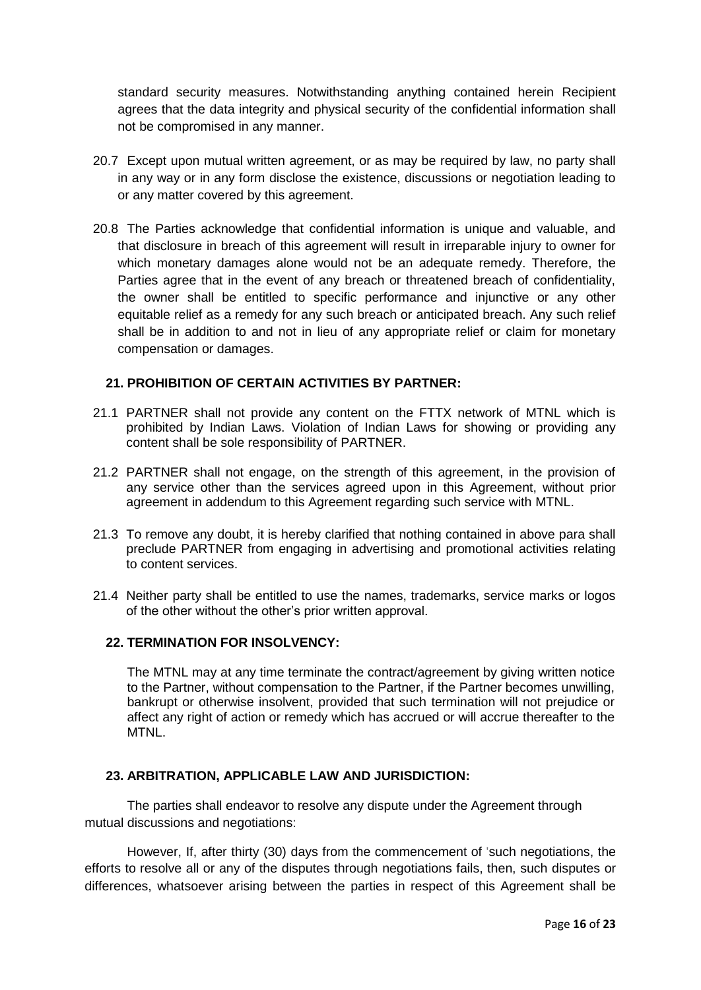standard security measures. Notwithstanding anything contained herein Recipient agrees that the data integrity and physical security of the confidential information shall not be compromised in any manner.

- 20.7 Except upon mutual written agreement, or as may be required by law, no party shall in any way or in any form disclose the existence, discussions or negotiation leading to or any matter covered by this agreement.
- 20.8 The Parties acknowledge that confidential information is unique and valuable, and that disclosure in breach of this agreement will result in irreparable injury to owner for which monetary damages alone would not be an adequate remedy. Therefore, the Parties agree that in the event of any breach or threatened breach of confidentiality, the owner shall be entitled to specific performance and injunctive or any other equitable relief as a remedy for any such breach or anticipated breach. Any such relief shall be in addition to and not in lieu of any appropriate relief or claim for monetary compensation or damages.

#### **21. PROHIBITION OF CERTAIN ACTIVITIES BY PARTNER:**

- 21.1 PARTNER shall not provide any content on the FTTX network of MTNL which is prohibited by Indian Laws. Violation of Indian Laws for showing or providing any content shall be sole responsibility of PARTNER.
- 21.2 PARTNER shall not engage, on the strength of this agreement, in the provision of any service other than the services agreed upon in this Agreement, without prior agreement in addendum to this Agreement regarding such service with MTNL.
- 21.3 To remove any doubt, it is hereby clarified that nothing contained in above para shall preclude PARTNER from engaging in advertising and promotional activities relating to content services.
- 21.4 Neither party shall be entitled to use the names, trademarks, service marks or logos of the other without the other's prior written approval.

#### **22. TERMINATION FOR INSOLVENCY:**

The MTNL may at any time terminate the contract/agreement by giving written notice to the Partner, without compensation to the Partner, if the Partner becomes unwilling, bankrupt or otherwise insolvent, provided that such termination will not prejudice or affect any right of action or remedy which has accrued or will accrue thereafter to the MTNL.

#### **23. ARBITRATION, APPLICABLE LAW AND JURISDICTION:**

The parties shall endeavor to resolve any dispute under the Agreement through mutual discussions and negotiations:

However, If, after thirty (30) days from the commencement of 'such negotiations, the efforts to resolve all or any of the disputes through negotiations fails, then, such disputes or differences, whatsoever arising between the parties in respect of this Agreement shall be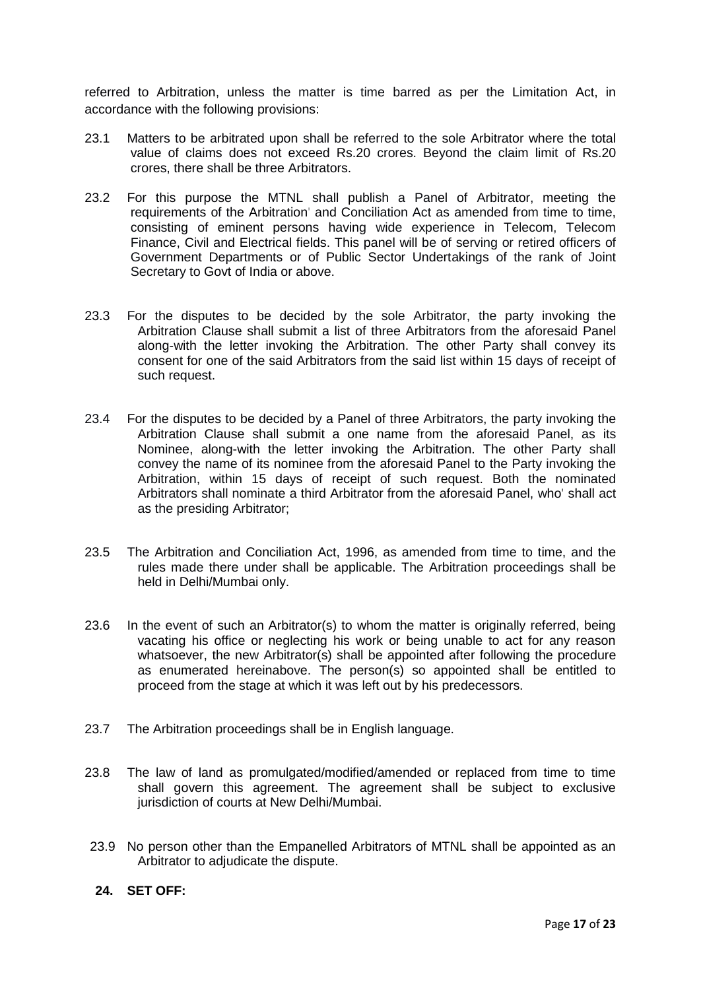referred to Arbitration, unless the matter is time barred as per the Limitation Act, in accordance with the following provisions:

- 23.1 Matters to be arbitrated upon shall be referred to the sole Arbitrator where the total value of claims does not exceed Rs.20 crores. Beyond the claim limit of Rs.20 crores, there shall be three Arbitrators.
- 23.2 For this purpose the MTNL shall publish a Panel of Arbitrator, meeting the requirements of the Arbitration' and Conciliation Act as amended from time to time, consisting of eminent persons having wide experience in Telecom, Telecom Finance, Civil and Electrical fields. This panel will be of serving or retired officers of Government Departments or of Public Sector Undertakings of the rank of Joint Secretary to Govt of India or above.
- 23.3 For the disputes to be decided by the sole Arbitrator, the party invoking the Arbitration Clause shall submit a list of three Arbitrators from the aforesaid Panel along-with the letter invoking the Arbitration. The other Party shall convey its consent for one of the said Arbitrators from the said list within 15 days of receipt of such request.
- 23.4 For the disputes to be decided by a Panel of three Arbitrators, the party invoking the Arbitration Clause shall submit a one name from the aforesaid Panel, as its Nominee, along-with the letter invoking the Arbitration. The other Party shall convey the name of its nominee from the aforesaid Panel to the Party invoking the Arbitration, within 15 days of receipt of such request. Both the nominated Arbitrators shall nominate a third Arbitrator from the aforesaid Panel, who' shall act as the presiding Arbitrator;
- 23.5 The Arbitration and Conciliation Act, 1996, as amended from time to time, and the rules made there under shall be applicable. The Arbitration proceedings shall be held in Delhi/Mumbai only.
- 23.6 In the event of such an Arbitrator(s) to whom the matter is originally referred, being vacating his office or neglecting his work or being unable to act for any reason whatsoever, the new Arbitrator(s) shall be appointed after following the procedure as enumerated hereinabove. The person(s) so appointed shall be entitled to proceed from the stage at which it was left out by his predecessors.
- 23.7 The Arbitration proceedings shall be in English language.
- 23.8 The law of land as promulgated/modified/amended or replaced from time to time shall govern this agreement. The agreement shall be subject to exclusive jurisdiction of courts at New Delhi/Mumbai.
- 23.9 No person other than the Empanelled Arbitrators of MTNL shall be appointed as an Arbitrator to adjudicate the dispute.
- **24. SET OFF:**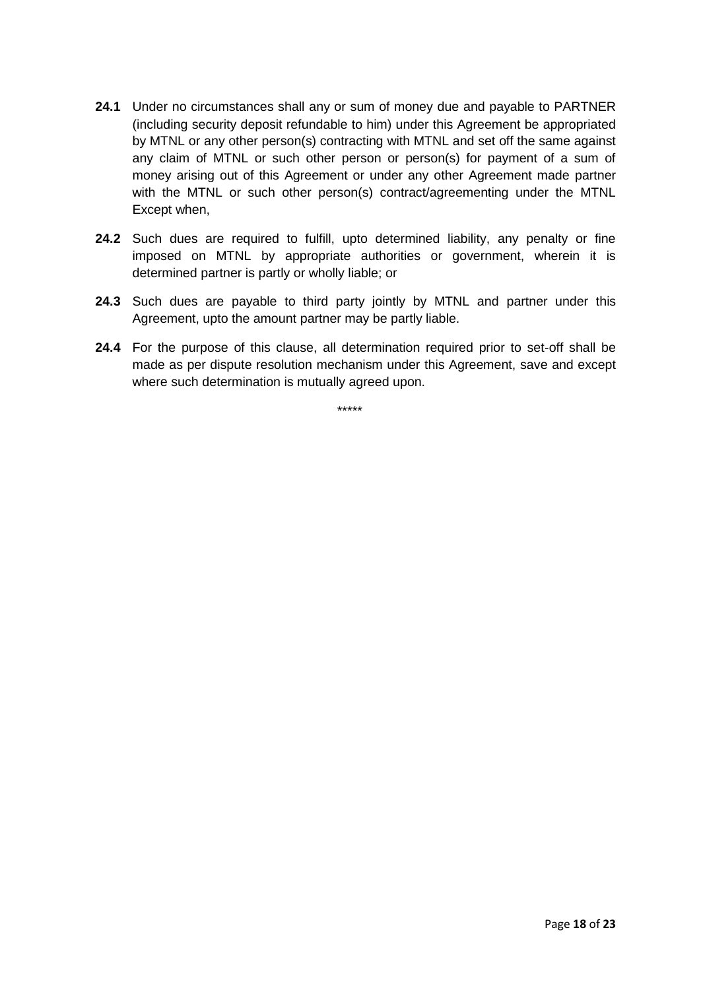- **24.1** Under no circumstances shall any or sum of money due and payable to PARTNER (including security deposit refundable to him) under this Agreement be appropriated by MTNL or any other person(s) contracting with MTNL and set off the same against any claim of MTNL or such other person or person(s) for payment of a sum of money arising out of this Agreement or under any other Agreement made partner with the MTNL or such other person(s) contract/agreementing under the MTNL Except when,
- **24.2** Such dues are required to fulfill, upto determined liability, any penalty or fine imposed on MTNL by appropriate authorities or government, wherein it is determined partner is partly or wholly liable; or
- **24.3** Such dues are payable to third party jointly by MTNL and partner under this Agreement, upto the amount partner may be partly liable.
- **24.4** For the purpose of this clause, all determination required prior to set-off shall be made as per dispute resolution mechanism under this Agreement, save and except where such determination is mutually agreed upon.

\*\*\*\*\*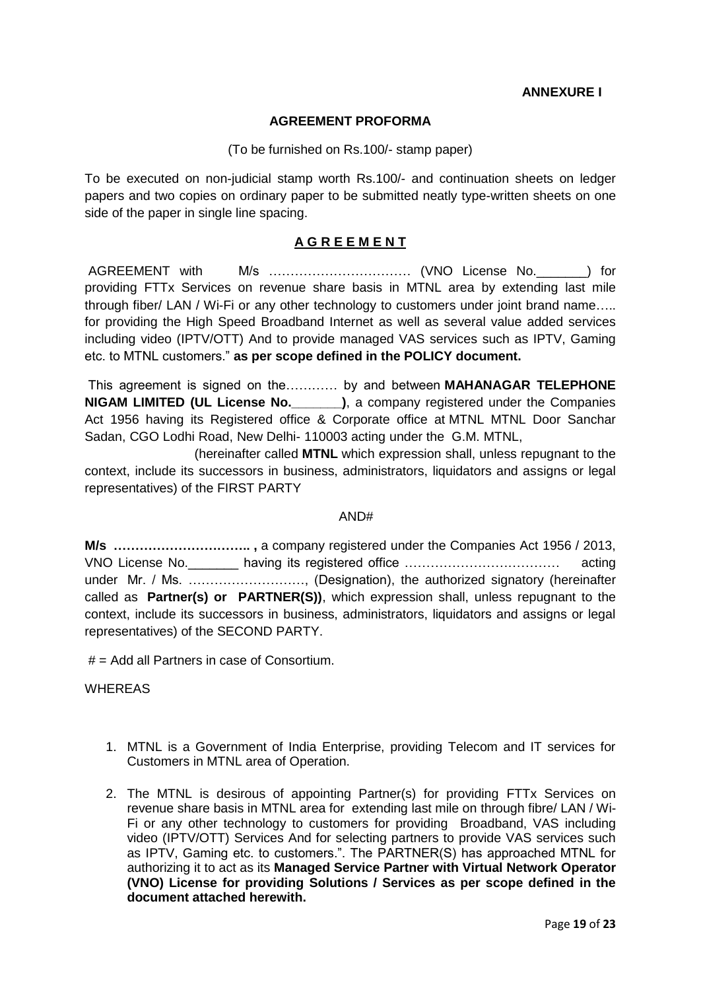**ANNEXURE I**

#### **AGREEMENT PROFORMA**

#### (To be furnished on Rs.100/- stamp paper)

To be executed on non-judicial stamp worth Rs.100/- and continuation sheets on ledger papers and two copies on ordinary paper to be submitted neatly type-written sheets on one side of the paper in single line spacing.

# **A G R E E M E N T**

AGREEMENT with M/s …………………………… (VNO License No.\_\_\_\_\_\_\_) for providing FTTx Services on revenue share basis in MTNL area by extending last mile through fiber/ LAN / Wi-Fi or any other technology to customers under joint brand name….. for providing the High Speed Broadband Internet as well as several value added services including video (IPTV/OTT) And to provide managed VAS services such as IPTV, Gaming etc. to MTNL customers." **as per scope defined in the POLICY document.**

This agreement is signed on the………… by and between **MAHANAGAR TELEPHONE NIGAM LIMITED (UL License No.\_\_\_\_\_\_\_)**, a company registered under the Companies Act 1956 having its Registered office & Corporate office at MTNL MTNL Door Sanchar Sadan, CGO Lodhi Road, New Delhi- 110003 acting under the G.M. MTNL,

(hereinafter called **MTNL** which expression shall, unless repugnant to the context, include its successors in business, administrators, liquidators and assigns or legal representatives) of the FIRST PARTY

#### AND#

**M/s ………………………….. ,** a company registered under the Companies Act 1956 / 2013, VNO License No. The having its registered office …………………………………………………………………………………… under Mr. / Ms. ………………………, (Designation), the authorized signatory (hereinafter called as **Partner(s) or PARTNER(S))**, which expression shall, unless repugnant to the context, include its successors in business, administrators, liquidators and assigns or legal representatives) of the SECOND PARTY.

 $#$  = Add all Partners in case of Consortium.

**WHEREAS** 

- 1. MTNL is a Government of India Enterprise, providing Telecom and IT services for Customers in MTNL area of Operation.
- 2. The MTNL is desirous of appointing Partner(s) for providing FTTx Services on revenue share basis in MTNL area for extending last mile on through fibre/ LAN / Wi-Fi or any other technology to customers for providing Broadband, VAS including video (IPTV/OTT) Services And for selecting partners to provide VAS services such as IPTV, Gaming etc. to customers.". The PARTNER(S) has approached MTNL for authorizing it to act as its **Managed Service Partner with Virtual Network Operator (VNO) License for providing Solutions / Services as per scope defined in the document attached herewith.**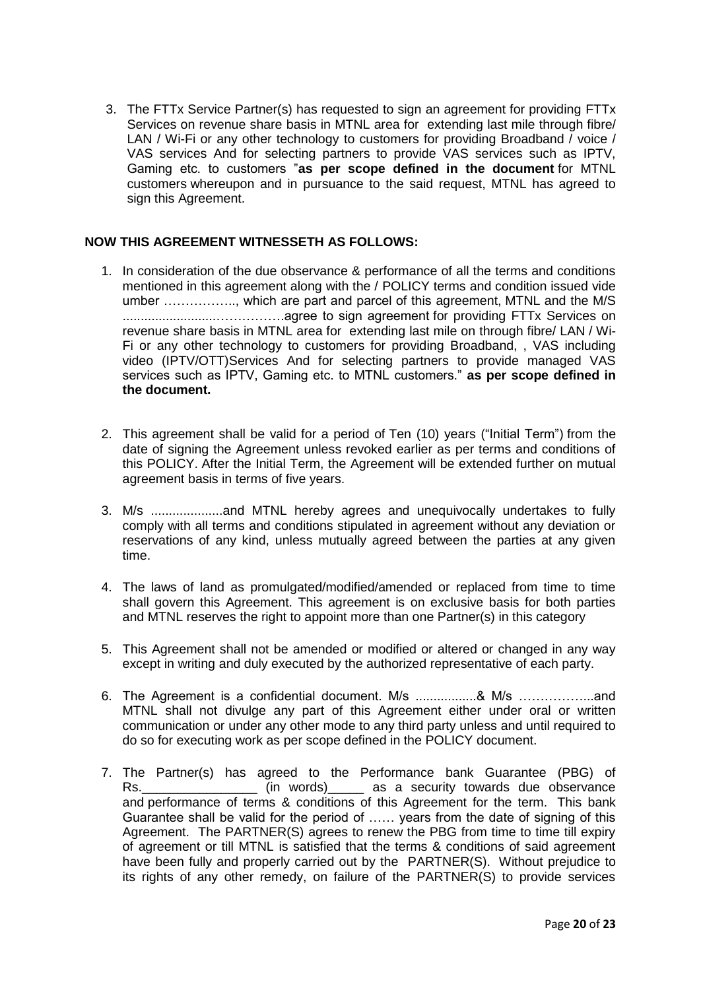3. The FTTx Service Partner(s) has requested to sign an agreement for providing FTTx Services on revenue share basis in MTNL area for extending last mile through fibre/ LAN / Wi-Fi or any other technology to customers for providing Broadband / voice / VAS services And for selecting partners to provide VAS services such as IPTV, Gaming etc. to customers "**as per scope defined in the document** for MTNL customers whereupon and in pursuance to the said request, MTNL has agreed to sign this Agreement.

## **NOW THIS AGREEMENT WITNESSETH AS FOLLOWS:**

- 1. In consideration of the due observance & performance of all the terms and conditions mentioned in this agreement along with the / POLICY terms and condition issued vide umber …………….., which are part and parcel of this agreement, MTNL and the M/S ..........................…………….agree to sign agreement for providing FTTx Services on revenue share basis in MTNL area for extending last mile on through fibre/ LAN / Wi-Fi or any other technology to customers for providing Broadband, , VAS including video (IPTV/OTT)Services And for selecting partners to provide managed VAS services such as IPTV, Gaming etc. to MTNL customers." **as per scope defined in the document.**
- 2. This agreement shall be valid for a period of Ten (10) years ("Initial Term") from the date of signing the Agreement unless revoked earlier as per terms and conditions of this POLICY. After the Initial Term, the Agreement will be extended further on mutual agreement basis in terms of five years.
- 3. M/s ....................and MTNL hereby agrees and unequivocally undertakes to fully comply with all terms and conditions stipulated in agreement without any deviation or reservations of any kind, unless mutually agreed between the parties at any given time.
- 4. The laws of land as promulgated/modified/amended or replaced from time to time shall govern this Agreement. This agreement is on exclusive basis for both parties and MTNL reserves the right to appoint more than one Partner(s) in this category
- 5. This Agreement shall not be amended or modified or altered or changed in any way except in writing and duly executed by the authorized representative of each party.
- 6. The Agreement is a confidential document. M/s .................& M/s ……………...and MTNL shall not divulge any part of this Agreement either under oral or written communication or under any other mode to any third party unless and until required to do so for executing work as per scope defined in the POLICY document.
- 7. The Partner(s) has agreed to the Performance bank Guarantee (PBG) of Rs.\_\_\_\_\_\_\_\_\_\_\_\_\_\_\_\_\_\_\_\_\_ (in words)\_\_\_\_\_\_ as a security towards due observance and performance of terms & conditions of this Agreement for the term. This bank Guarantee shall be valid for the period of …… years from the date of signing of this Agreement. The PARTNER(S) agrees to renew the PBG from time to time till expiry of agreement or till MTNL is satisfied that the terms & conditions of said agreement have been fully and properly carried out by the PARTNER(S). Without prejudice to its rights of any other remedy, on failure of the PARTNER(S) to provide services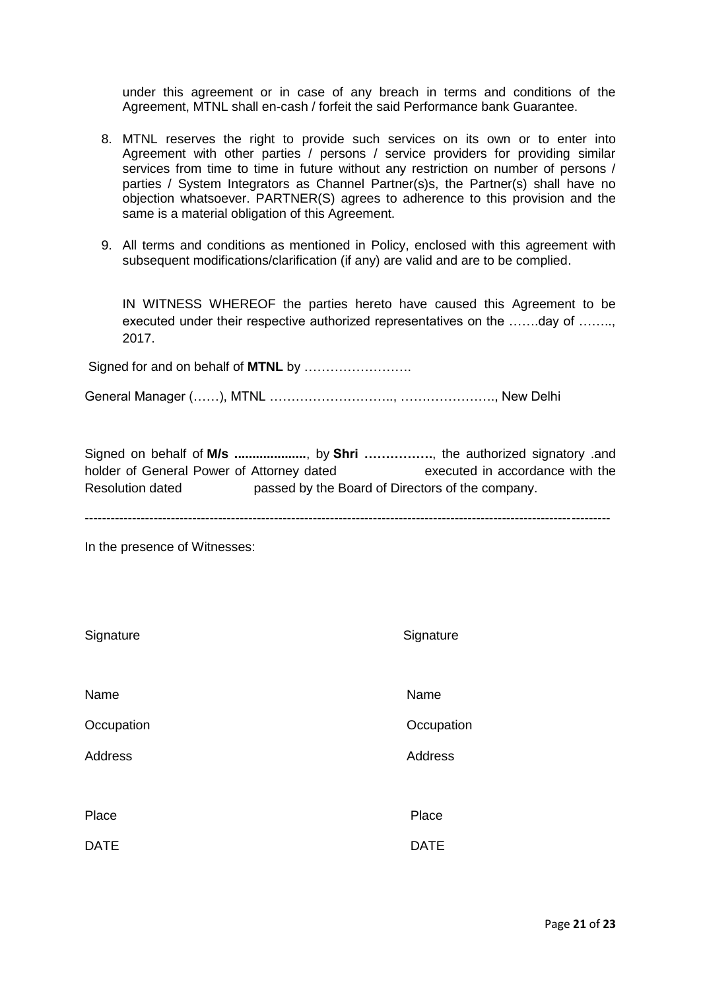under this agreement or in case of any breach in terms and conditions of the Agreement, MTNL shall en-cash / forfeit the said Performance bank Guarantee.

- 8. MTNL reserves the right to provide such services on its own or to enter into Agreement with other parties / persons / service providers for providing similar services from time to time in future without any restriction on number of persons / parties / System Integrators as Channel Partner(s)s, the Partner(s) shall have no objection whatsoever. PARTNER(S) agrees to adherence to this provision and the same is a material obligation of this Agreement.
- 9. All terms and conditions as mentioned in Policy, enclosed with this agreement with subsequent modifications/clarification (if any) are valid and are to be complied.

IN WITNESS WHEREOF the parties hereto have caused this Agreement to be executed under their respective authorized representatives on the …….day of ……… 2017.

Signed for and on behalf of **MTNL** by ……………………. General Manager (……), MTNL ……………………….., …………………., New Delhi

Signed on behalf of **M/s ....................**, by **Shri …………….**, the authorized signatory .and holder of General Power of Attorney dated executed in accordance with the Resolution dated passed by the Board of Directors of the company.

--------------------------------------------------------------------------------------------------------------------------

In the presence of Witnesses:

| Signature      | Signature   |
|----------------|-------------|
| Name           | Name        |
| Occupation     | Occupation  |
| <b>Address</b> | Address     |
|                |             |
| Place          | Place       |
| <b>DATE</b>    | <b>DATE</b> |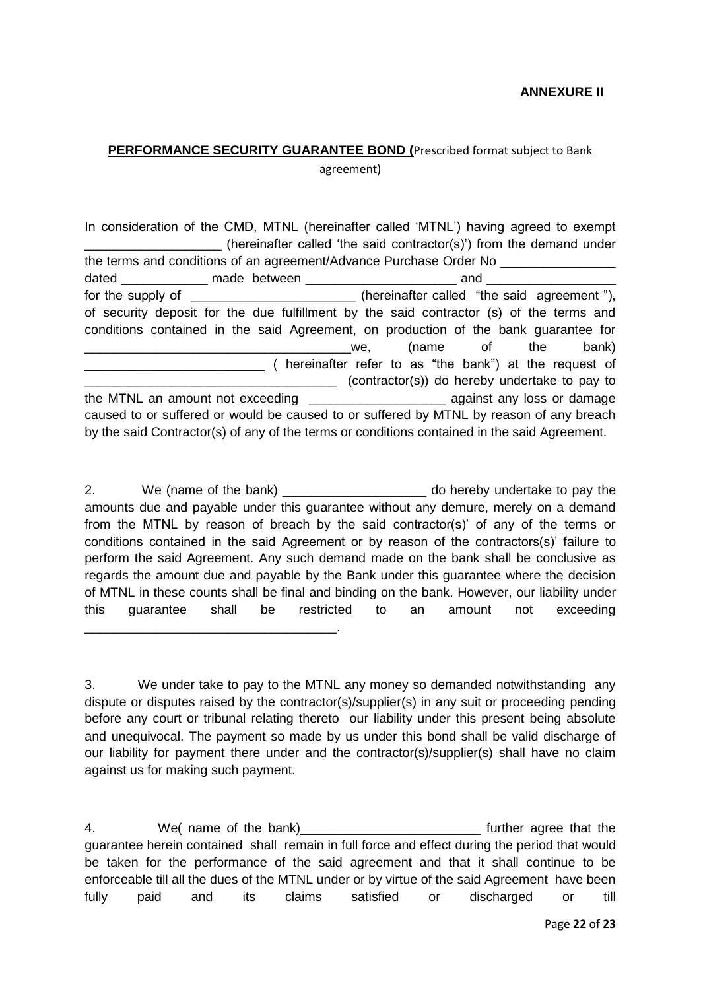# **PERFORMANCE SECURITY GUARANTEE BOND (**Prescribed format subject to Bank agreement)

In consideration of the CMD, MTNL (hereinafter called 'MTNL') having agreed to exempt (hereinafter called 'the said contractor(s)') from the demand under the terms and conditions of an agreement/Advance Purchase Order No \_\_\_\_\_\_\_\_\_\_\_\_\_\_\_\_ dated **made between example 1** and  $\blacksquare$ for the supply of  $\blacksquare$  (hereinafter called "the said agreement "), of security deposit for the due fulfillment by the said contractor (s) of the terms and conditions contained in the said Agreement, on production of the bank guarantee for \_\_\_\_\_\_\_\_\_\_\_\_\_\_\_\_\_\_\_\_\_\_\_\_\_\_\_\_\_\_\_\_\_\_\_\_\_we, (name of the bank) \_\_\_\_\_\_\_\_\_\_\_\_\_\_\_\_\_\_\_\_\_\_\_\_\_ ( hereinafter refer to as "the bank") at the request of \_\_\_\_\_\_\_\_\_\_\_\_\_\_\_\_\_\_\_\_\_\_\_\_\_\_\_\_\_\_\_\_\_\_\_ (contractor(s)) do hereby undertake to pay to the MTNL an amount not exceeding the state of against any loss or damage caused to or suffered or would be caused to or suffered by MTNL by reason of any breach by the said Contractor(s) of any of the terms or conditions contained in the said Agreement.

2. We (name of the bank)  $\blacksquare$  do hereby undertake to pay the amounts due and payable under this guarantee without any demure, merely on a demand from the MTNL by reason of breach by the said contractor(s)' of any of the terms or conditions contained in the said Agreement or by reason of the contractors(s)' failure to perform the said Agreement. Any such demand made on the bank shall be conclusive as regards the amount due and payable by the Bank under this guarantee where the decision of MTNL in these counts shall be final and binding on the bank. However, our liability under this guarantee shall be restricted to an amount not exceeding

\_\_\_\_\_\_\_\_\_\_\_\_\_\_\_\_\_\_\_\_\_\_\_\_\_\_\_\_\_\_\_\_\_\_\_.

3. We under take to pay to the MTNL any money so demanded notwithstanding any dispute or disputes raised by the contractor(s)/supplier(s) in any suit or proceeding pending before any court or tribunal relating thereto our liability under this present being absolute and unequivocal. The payment so made by us under this bond shall be valid discharge of our liability for payment there under and the contractor(s)/supplier(s) shall have no claim against us for making such payment.

4. We( name of the bank)\_\_\_\_\_\_\_\_\_\_\_\_\_\_\_\_\_\_\_\_\_\_\_\_\_\_\_\_\_ further agree that the guarantee herein contained shall remain in full force and effect during the period that would be taken for the performance of the said agreement and that it shall continue to be enforceable till all the dues of the MTNL under or by virtue of the said Agreement have been fully paid and its claims satisfied or discharged or till